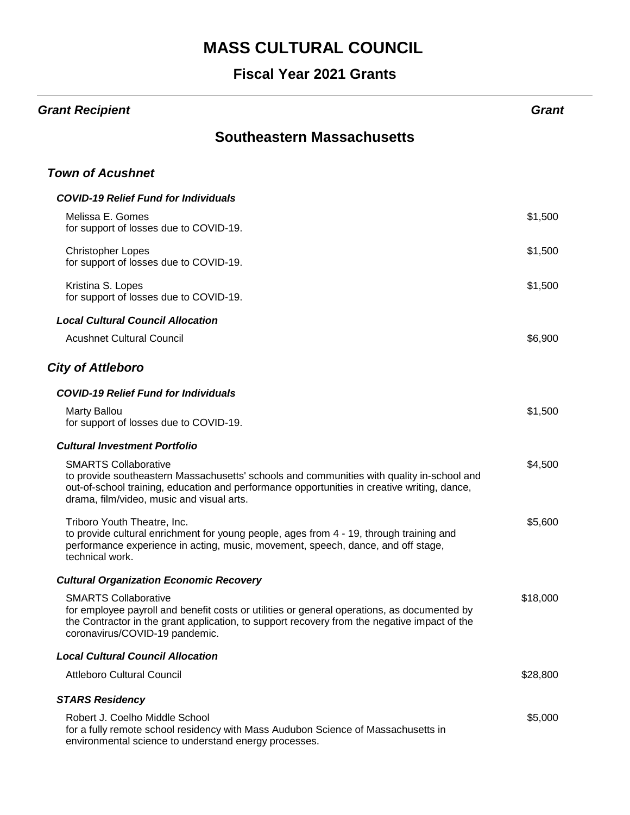| <b>Grant Recipient</b>                                                                                                                                                                                                                                               | Grant    |
|----------------------------------------------------------------------------------------------------------------------------------------------------------------------------------------------------------------------------------------------------------------------|----------|
| <b>Southeastern Massachusetts</b>                                                                                                                                                                                                                                    |          |
| <b>Town of Acushnet</b>                                                                                                                                                                                                                                              |          |
| <b>COVID-19 Relief Fund for Individuals</b>                                                                                                                                                                                                                          |          |
| Melissa E. Gomes<br>for support of losses due to COVID-19.                                                                                                                                                                                                           | \$1,500  |
| <b>Christopher Lopes</b><br>for support of losses due to COVID-19.                                                                                                                                                                                                   | \$1,500  |
| Kristina S. Lopes<br>for support of losses due to COVID-19.                                                                                                                                                                                                          | \$1,500  |
| <b>Local Cultural Council Allocation</b>                                                                                                                                                                                                                             |          |
| <b>Acushnet Cultural Council</b>                                                                                                                                                                                                                                     | \$6,900  |
| <b>City of Attleboro</b>                                                                                                                                                                                                                                             |          |
| <b>COVID-19 Relief Fund for Individuals</b>                                                                                                                                                                                                                          |          |
| <b>Marty Ballou</b><br>for support of losses due to COVID-19.                                                                                                                                                                                                        | \$1,500  |
| <b>Cultural Investment Portfolio</b>                                                                                                                                                                                                                                 |          |
| <b>SMARTS Collaborative</b><br>to provide southeastern Massachusetts' schools and communities with quality in-school and<br>out-of-school training, education and performance opportunities in creative writing, dance,<br>drama, film/video, music and visual arts. | \$4,500  |
| Triboro Youth Theatre, Inc.<br>to provide cultural enrichment for young people, ages from 4 - 19, through training and<br>performance experience in acting, music, movement, speech, dance, and off stage,<br>technical work.                                        | \$5,600  |
| <b>Cultural Organization Economic Recovery</b>                                                                                                                                                                                                                       |          |
| <b>SMARTS Collaborative</b><br>for employee payroll and benefit costs or utilities or general operations, as documented by<br>the Contractor in the grant application, to support recovery from the negative impact of the<br>coronavirus/COVID-19 pandemic.         | \$18,000 |
| <b>Local Cultural Council Allocation</b>                                                                                                                                                                                                                             |          |
| <b>Attleboro Cultural Council</b>                                                                                                                                                                                                                                    | \$28,800 |
| <b>STARS Residency</b>                                                                                                                                                                                                                                               |          |
| Robert J. Coelho Middle School<br>for a fully remote school residency with Mass Audubon Science of Massachusetts in<br>environmental science to understand energy processes.                                                                                         | \$5,000  |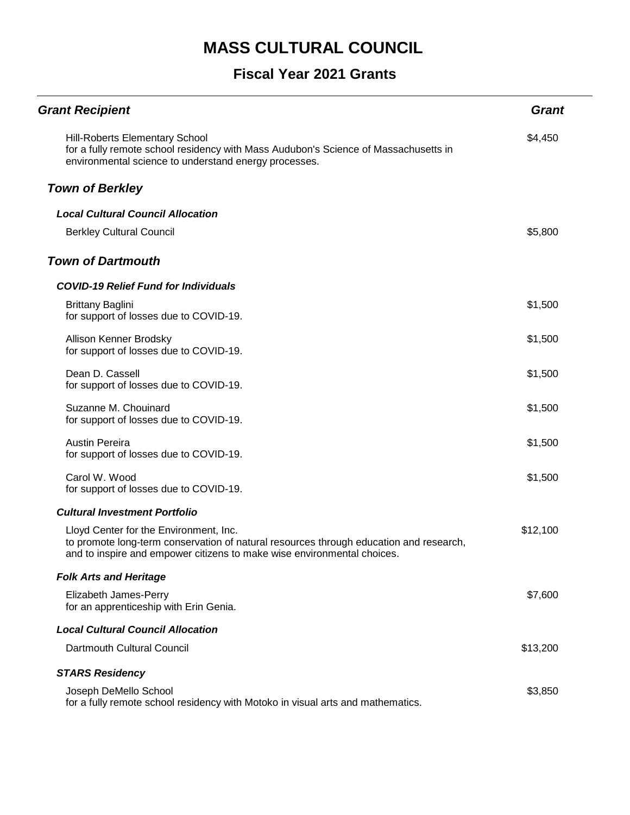| <b>Grant Recipient</b>                                                                                                                                                                                      | <b>Grant</b> |
|-------------------------------------------------------------------------------------------------------------------------------------------------------------------------------------------------------------|--------------|
| <b>Hill-Roberts Elementary School</b><br>for a fully remote school residency with Mass Audubon's Science of Massachusetts in<br>environmental science to understand energy processes.                       | \$4,450      |
| <b>Town of Berkley</b>                                                                                                                                                                                      |              |
| <b>Local Cultural Council Allocation</b>                                                                                                                                                                    |              |
| <b>Berkley Cultural Council</b>                                                                                                                                                                             | \$5,800      |
| <b>Town of Dartmouth</b>                                                                                                                                                                                    |              |
| <b>COVID-19 Relief Fund for Individuals</b>                                                                                                                                                                 |              |
| <b>Brittany Baglini</b><br>for support of losses due to COVID-19.                                                                                                                                           | \$1,500      |
| Allison Kenner Brodsky<br>for support of losses due to COVID-19.                                                                                                                                            | \$1,500      |
| Dean D. Cassell<br>for support of losses due to COVID-19.                                                                                                                                                   | \$1,500      |
| Suzanne M. Chouinard<br>for support of losses due to COVID-19.                                                                                                                                              | \$1,500      |
| <b>Austin Pereira</b><br>for support of losses due to COVID-19.                                                                                                                                             | \$1,500      |
| Carol W. Wood<br>for support of losses due to COVID-19.                                                                                                                                                     | \$1,500      |
| <b>Cultural Investment Portfolio</b>                                                                                                                                                                        |              |
| Lloyd Center for the Environment, Inc.<br>to promote long-term conservation of natural resources through education and research,<br>and to inspire and empower citizens to make wise environmental choices. | \$12,100     |
| <b>Folk Arts and Heritage</b>                                                                                                                                                                               |              |
| Elizabeth James-Perry<br>for an apprenticeship with Erin Genia.                                                                                                                                             | \$7,600      |
| <b>Local Cultural Council Allocation</b>                                                                                                                                                                    |              |
| Dartmouth Cultural Council                                                                                                                                                                                  | \$13,200     |
| <b>STARS Residency</b>                                                                                                                                                                                      |              |
| Joseph DeMello School<br>for a fully remote school residency with Motoko in visual arts and mathematics.                                                                                                    | \$3,850      |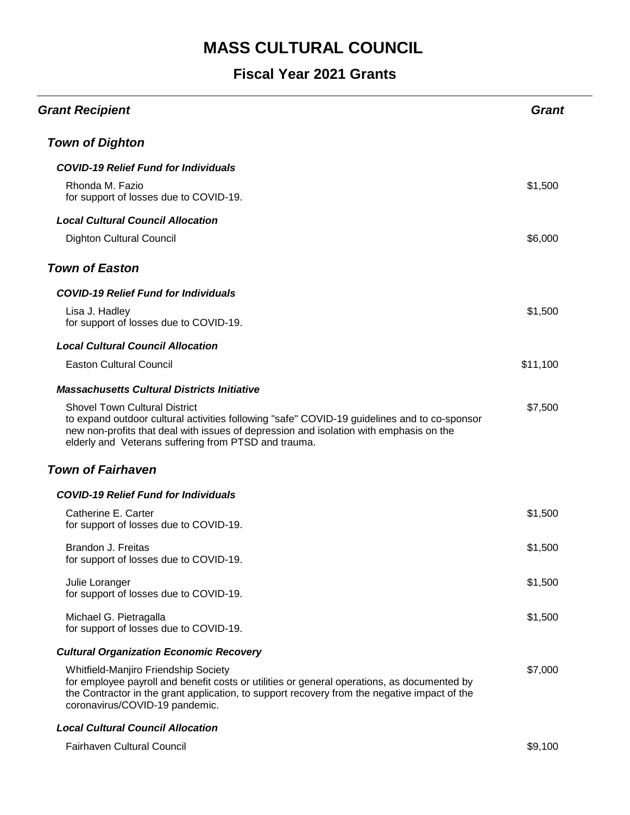#### **Fiscal Year 2021 Grants**

| <b>Grant Recipient</b>                                                                                                                                                                                                                                                                 | <b>Grant</b> |
|----------------------------------------------------------------------------------------------------------------------------------------------------------------------------------------------------------------------------------------------------------------------------------------|--------------|
| <b>Town of Dighton</b>                                                                                                                                                                                                                                                                 |              |
| <b>COVID-19 Relief Fund for Individuals</b>                                                                                                                                                                                                                                            |              |
| Rhonda M. Fazio<br>for support of losses due to COVID-19.                                                                                                                                                                                                                              | \$1,500      |
| <b>Local Cultural Council Allocation</b>                                                                                                                                                                                                                                               |              |
| <b>Dighton Cultural Council</b>                                                                                                                                                                                                                                                        | \$6,000      |
| <b>Town of Easton</b>                                                                                                                                                                                                                                                                  |              |
| <b>COVID-19 Relief Fund for Individuals</b>                                                                                                                                                                                                                                            |              |
| Lisa J. Hadley<br>for support of losses due to COVID-19.                                                                                                                                                                                                                               | \$1,500      |
| <b>Local Cultural Council Allocation</b>                                                                                                                                                                                                                                               |              |
| <b>Easton Cultural Council</b>                                                                                                                                                                                                                                                         | \$11,100     |
| <b>Massachusetts Cultural Districts Initiative</b>                                                                                                                                                                                                                                     |              |
| <b>Shovel Town Cultural District</b><br>to expand outdoor cultural activities following "safe" COVID-19 guidelines and to co-sponsor<br>new non-profits that deal with issues of depression and isolation with emphasis on the<br>elderly and Veterans suffering from PTSD and trauma. | \$7,500      |
| <b>Town of Fairhaven</b>                                                                                                                                                                                                                                                               |              |
| <b>COVID-19 Relief Fund for Individuals</b>                                                                                                                                                                                                                                            |              |
| Catherine E. Carter<br>for support of losses due to COVID-19.                                                                                                                                                                                                                          | \$1,500      |
| Brandon J. Freitas<br>for support of losses due to COVID-19.                                                                                                                                                                                                                           | \$1,500      |
| Julie Loranger<br>for support of losses due to COVID-19.                                                                                                                                                                                                                               | \$1,500      |
| Michael G. Pietragalla<br>for support of losses due to COVID-19.                                                                                                                                                                                                                       | \$1,500      |
| <b>Cultural Organization Economic Recovery</b>                                                                                                                                                                                                                                         |              |
| Whitfield-Manjiro Friendship Society<br>for employee payroll and benefit costs or utilities or general operations, as documented by<br>the Contractor in the grant application, to support recovery from the negative impact of the<br>coronavirus/COVID-19 pandemic.                  | \$7,000      |
| $10.14 \cdot 10.10$ $20.100$ $11.8$ $11.000$                                                                                                                                                                                                                                           |              |

#### *Local Cultural Council Allocation*

Fairhaven Cultural Council **\$9,100** Space 2011 12:30 and 2012 12:30 and 30,100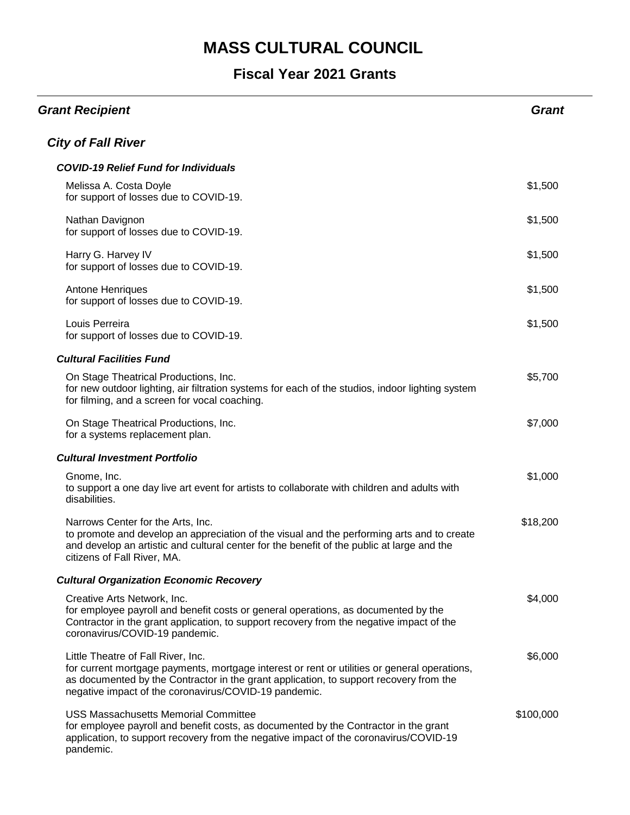| <b>Grant Recipient</b>                                                                                                                                                                                                                                                                | <b>Grant</b> |
|---------------------------------------------------------------------------------------------------------------------------------------------------------------------------------------------------------------------------------------------------------------------------------------|--------------|
| <b>City of Fall River</b>                                                                                                                                                                                                                                                             |              |
| <b>COVID-19 Relief Fund for Individuals</b>                                                                                                                                                                                                                                           |              |
| Melissa A. Costa Doyle<br>for support of losses due to COVID-19.                                                                                                                                                                                                                      | \$1,500      |
| Nathan Davignon<br>for support of losses due to COVID-19.                                                                                                                                                                                                                             | \$1,500      |
| Harry G. Harvey IV<br>for support of losses due to COVID-19.                                                                                                                                                                                                                          | \$1,500      |
| Antone Henriques<br>for support of losses due to COVID-19.                                                                                                                                                                                                                            | \$1,500      |
| Louis Perreira<br>for support of losses due to COVID-19.                                                                                                                                                                                                                              | \$1,500      |
| <b>Cultural Facilities Fund</b>                                                                                                                                                                                                                                                       |              |
| On Stage Theatrical Productions, Inc.<br>for new outdoor lighting, air filtration systems for each of the studios, indoor lighting system<br>for filming, and a screen for vocal coaching.                                                                                            | \$5,700      |
| On Stage Theatrical Productions, Inc.<br>for a systems replacement plan.                                                                                                                                                                                                              | \$7,000      |
| <b>Cultural Investment Portfolio</b>                                                                                                                                                                                                                                                  |              |
| Gnome, Inc.<br>to support a one day live art event for artists to collaborate with children and adults with<br>disabilities.                                                                                                                                                          | \$1,000      |
| Narrows Center for the Arts, Inc.<br>to promote and develop an appreciation of the visual and the performing arts and to create<br>and develop an artistic and cultural center for the benefit of the public at large and the<br>citizens of Fall River, MA.                          | \$18,200     |
| <b>Cultural Organization Economic Recovery</b>                                                                                                                                                                                                                                        |              |
| Creative Arts Network, Inc.<br>for employee payroll and benefit costs or general operations, as documented by the<br>Contractor in the grant application, to support recovery from the negative impact of the<br>coronavirus/COVID-19 pandemic.                                       | \$4,000      |
| Little Theatre of Fall River, Inc.<br>for current mortgage payments, mortgage interest or rent or utilities or general operations,<br>as documented by the Contractor in the grant application, to support recovery from the<br>negative impact of the coronavirus/COVID-19 pandemic. | \$6,000      |
| <b>USS Massachusetts Memorial Committee</b><br>for employee payroll and benefit costs, as documented by the Contractor in the grant<br>application, to support recovery from the negative impact of the coronavirus/COVID-19<br>pandemic.                                             | \$100,000    |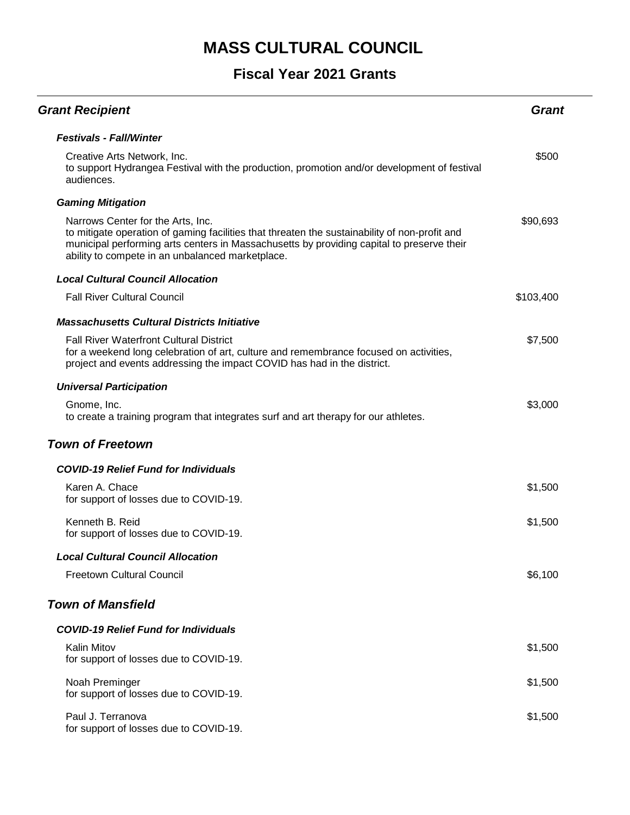| <b>Grant Recipient</b>                                                                                                                                                                                                                                                              | <b>Grant</b> |
|-------------------------------------------------------------------------------------------------------------------------------------------------------------------------------------------------------------------------------------------------------------------------------------|--------------|
| <b>Festivals - Fall/Winter</b>                                                                                                                                                                                                                                                      |              |
| Creative Arts Network, Inc.<br>to support Hydrangea Festival with the production, promotion and/or development of festival<br>audiences.                                                                                                                                            | \$500        |
| <b>Gaming Mitigation</b>                                                                                                                                                                                                                                                            |              |
| Narrows Center for the Arts, Inc.<br>to mitigate operation of gaming facilities that threaten the sustainability of non-profit and<br>municipal performing arts centers in Massachusetts by providing capital to preserve their<br>ability to compete in an unbalanced marketplace. | \$90,693     |
| <b>Local Cultural Council Allocation</b>                                                                                                                                                                                                                                            |              |
| <b>Fall River Cultural Council</b>                                                                                                                                                                                                                                                  | \$103,400    |
| <b>Massachusetts Cultural Districts Initiative</b>                                                                                                                                                                                                                                  |              |
| <b>Fall River Waterfront Cultural District</b><br>for a weekend long celebration of art, culture and remembrance focused on activities,<br>project and events addressing the impact COVID has had in the district.                                                                  | \$7,500      |
| <b>Universal Participation</b>                                                                                                                                                                                                                                                      |              |
| Gnome, Inc.<br>to create a training program that integrates surf and art therapy for our athletes.                                                                                                                                                                                  | \$3,000      |
| <b>Town of Freetown</b>                                                                                                                                                                                                                                                             |              |
| <b>COVID-19 Relief Fund for Individuals</b>                                                                                                                                                                                                                                         |              |
| Karen A. Chace<br>for support of losses due to COVID-19.                                                                                                                                                                                                                            | \$1,500      |
| Kenneth B. Reid<br>for support of losses due to COVID-19.                                                                                                                                                                                                                           | \$1,500      |
| Local Cultural Council Allocation                                                                                                                                                                                                                                                   |              |
| <b>Freetown Cultural Council</b>                                                                                                                                                                                                                                                    | \$6,100      |
| <b>Town of Mansfield</b>                                                                                                                                                                                                                                                            |              |
| <b>COVID-19 Relief Fund for Individuals</b>                                                                                                                                                                                                                                         |              |
| <b>Kalin Mitov</b><br>for support of losses due to COVID-19.                                                                                                                                                                                                                        | \$1,500      |
| Noah Preminger<br>for support of losses due to COVID-19.                                                                                                                                                                                                                            | \$1,500      |
| Paul J. Terranova<br>for support of losses due to COVID-19.                                                                                                                                                                                                                         | \$1,500      |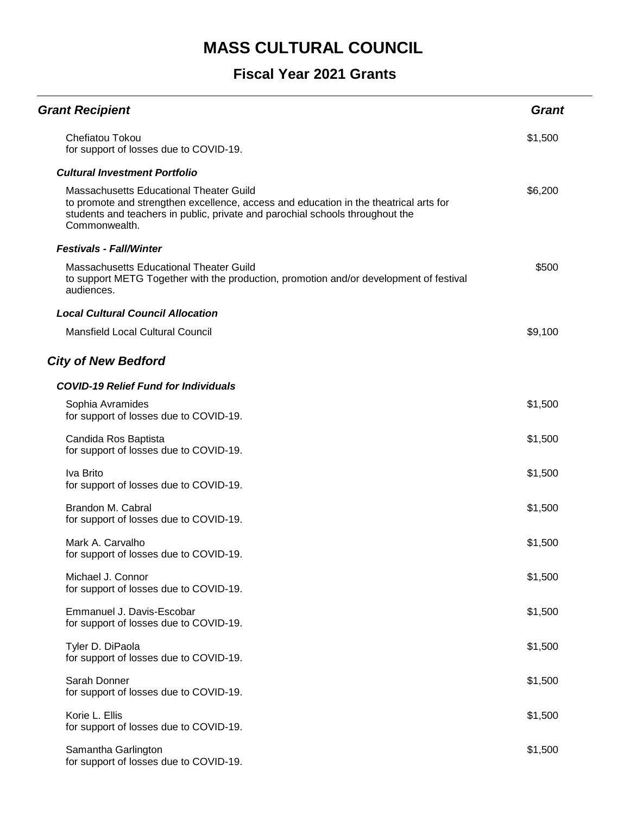| <b>Grant Recipient</b>                                                                                                                                                                                                                    | <b>Grant</b> |
|-------------------------------------------------------------------------------------------------------------------------------------------------------------------------------------------------------------------------------------------|--------------|
| Chefiatou Tokou<br>for support of losses due to COVID-19.                                                                                                                                                                                 | \$1,500      |
| <b>Cultural Investment Portfolio</b>                                                                                                                                                                                                      |              |
| <b>Massachusetts Educational Theater Guild</b><br>to promote and strengthen excellence, access and education in the theatrical arts for<br>students and teachers in public, private and parochial schools throughout the<br>Commonwealth. | \$6,200      |
| <b>Festivals - Fall/Winter</b>                                                                                                                                                                                                            |              |
| <b>Massachusetts Educational Theater Guild</b><br>to support METG Together with the production, promotion and/or development of festival<br>audiences.                                                                                    | \$500        |
| <b>Local Cultural Council Allocation</b>                                                                                                                                                                                                  |              |
| Mansfield Local Cultural Council                                                                                                                                                                                                          | \$9,100      |
| <b>City of New Bedford</b>                                                                                                                                                                                                                |              |
| <b>COVID-19 Relief Fund for Individuals</b>                                                                                                                                                                                               |              |
| Sophia Avramides<br>for support of losses due to COVID-19.                                                                                                                                                                                | \$1,500      |
| Candida Ros Baptista<br>for support of losses due to COVID-19.                                                                                                                                                                            | \$1,500      |
| Iva Brito<br>for support of losses due to COVID-19.                                                                                                                                                                                       | \$1,500      |
| Brandon M. Cabral<br>for support of losses due to COVID-19.                                                                                                                                                                               | \$1,500      |
| Mark A. Carvalho<br>for support of losses due to COVID-19.                                                                                                                                                                                | \$1,500      |
| Michael J. Connor<br>for support of losses due to COVID-19.                                                                                                                                                                               | \$1,500      |
| Emmanuel J. Davis-Escobar<br>for support of losses due to COVID-19.                                                                                                                                                                       | \$1,500      |
| Tyler D. DiPaola<br>for support of losses due to COVID-19.                                                                                                                                                                                | \$1,500      |
| Sarah Donner<br>for support of losses due to COVID-19.                                                                                                                                                                                    | \$1,500      |
| Korie L. Ellis<br>for support of losses due to COVID-19.                                                                                                                                                                                  | \$1,500      |
| Samantha Garlington<br>for support of losses due to COVID-19.                                                                                                                                                                             | \$1,500      |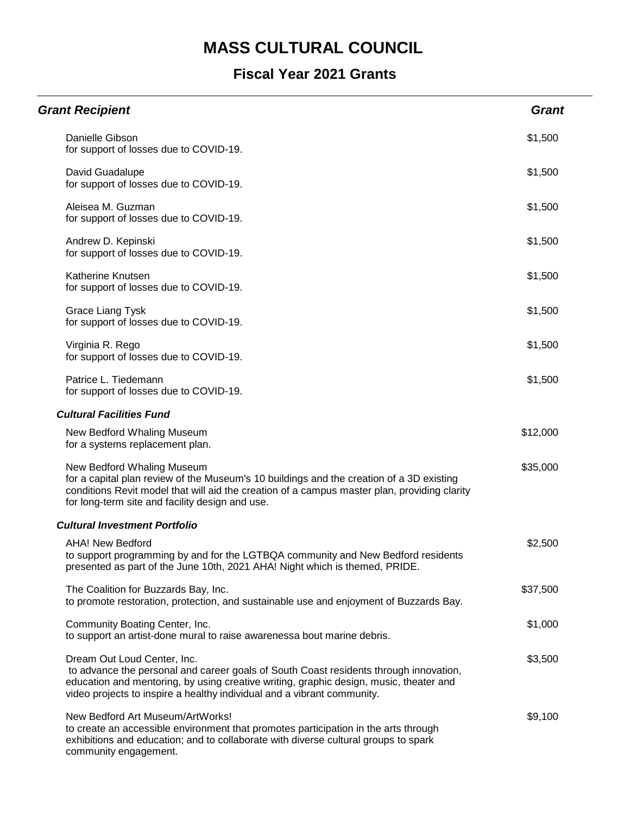| <b>Grant Recipient</b>                                                                                                                                                                                                                                                                    | <b>Grant</b> |
|-------------------------------------------------------------------------------------------------------------------------------------------------------------------------------------------------------------------------------------------------------------------------------------------|--------------|
| Danielle Gibson<br>for support of losses due to COVID-19.                                                                                                                                                                                                                                 | \$1,500      |
| David Guadalupe<br>for support of losses due to COVID-19.                                                                                                                                                                                                                                 | \$1,500      |
| Aleisea M. Guzman<br>for support of losses due to COVID-19.                                                                                                                                                                                                                               | \$1,500      |
| Andrew D. Kepinski<br>for support of losses due to COVID-19.                                                                                                                                                                                                                              | \$1,500      |
| Katherine Knutsen<br>for support of losses due to COVID-19.                                                                                                                                                                                                                               | \$1,500      |
| <b>Grace Liang Tysk</b><br>for support of losses due to COVID-19.                                                                                                                                                                                                                         | \$1,500      |
| Virginia R. Rego<br>for support of losses due to COVID-19.                                                                                                                                                                                                                                | \$1,500      |
| Patrice L. Tiedemann<br>for support of losses due to COVID-19.                                                                                                                                                                                                                            | \$1,500      |
| <b>Cultural Facilities Fund</b>                                                                                                                                                                                                                                                           |              |
| New Bedford Whaling Museum<br>for a systems replacement plan.                                                                                                                                                                                                                             | \$12,000     |
| New Bedford Whaling Museum<br>for a capital plan review of the Museum's 10 buildings and the creation of a 3D existing<br>conditions Revit model that will aid the creation of a campus master plan, providing clarity<br>for long-term site and facility design and use.                 | \$35,000     |
| <b>Cultural Investment Portfolio</b>                                                                                                                                                                                                                                                      |              |
| <b>AHA! New Bedford</b><br>to support programming by and for the LGTBQA community and New Bedford residents<br>presented as part of the June 10th, 2021 AHA! Night which is themed, PRIDE.                                                                                                | \$2,500      |
| The Coalition for Buzzards Bay, Inc.<br>to promote restoration, protection, and sustainable use and enjoyment of Buzzards Bay.                                                                                                                                                            | \$37,500     |
| Community Boating Center, Inc.<br>to support an artist-done mural to raise awarenessa bout marine debris.                                                                                                                                                                                 | \$1,000      |
| Dream Out Loud Center, Inc.<br>to advance the personal and career goals of South Coast residents through innovation,<br>education and mentoring, by using creative writing, graphic design, music, theater and<br>video projects to inspire a healthy individual and a vibrant community. | \$3,500      |
| New Bedford Art Museum/ArtWorks!<br>to create an accessible environment that promotes participation in the arts through<br>exhibitions and education; and to collaborate with diverse cultural groups to spark<br>community engagement.                                                   | \$9,100      |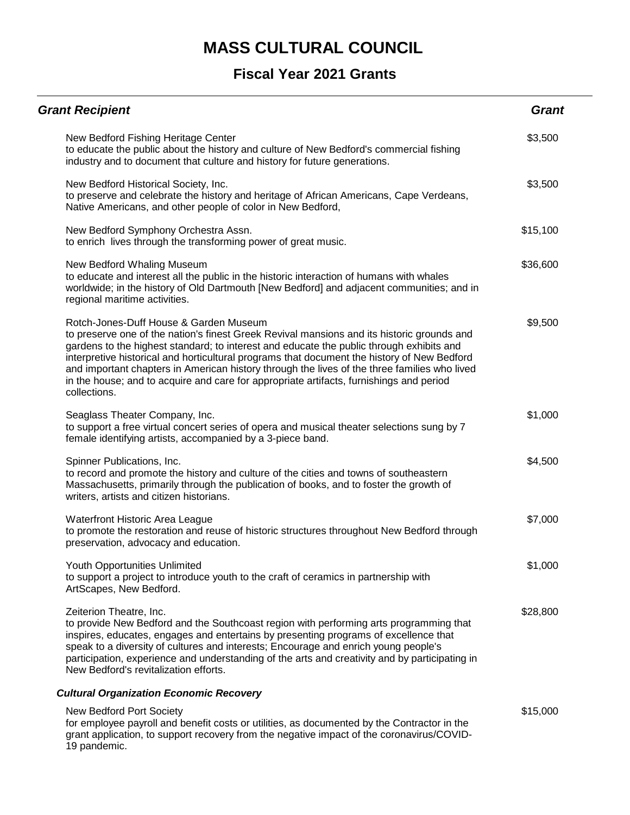#### **Fiscal Year 2021 Grants**

| <b>Grant Recipient</b>                                                                                                                                                                                                                                                                                                                                                                                                                                                                                                                     | <b>Grant</b> |
|--------------------------------------------------------------------------------------------------------------------------------------------------------------------------------------------------------------------------------------------------------------------------------------------------------------------------------------------------------------------------------------------------------------------------------------------------------------------------------------------------------------------------------------------|--------------|
| New Bedford Fishing Heritage Center<br>to educate the public about the history and culture of New Bedford's commercial fishing<br>industry and to document that culture and history for future generations.                                                                                                                                                                                                                                                                                                                                | \$3,500      |
| New Bedford Historical Society, Inc.<br>to preserve and celebrate the history and heritage of African Americans, Cape Verdeans,<br>Native Americans, and other people of color in New Bedford,                                                                                                                                                                                                                                                                                                                                             | \$3,500      |
| New Bedford Symphony Orchestra Assn.<br>to enrich lives through the transforming power of great music.                                                                                                                                                                                                                                                                                                                                                                                                                                     | \$15,100     |
| New Bedford Whaling Museum<br>to educate and interest all the public in the historic interaction of humans with whales<br>worldwide; in the history of Old Dartmouth [New Bedford] and adjacent communities; and in<br>regional maritime activities.                                                                                                                                                                                                                                                                                       | \$36,600     |
| Rotch-Jones-Duff House & Garden Museum<br>to preserve one of the nation's finest Greek Revival mansions and its historic grounds and<br>gardens to the highest standard; to interest and educate the public through exhibits and<br>interpretive historical and horticultural programs that document the history of New Bedford<br>and important chapters in American history through the lives of the three families who lived<br>in the house; and to acquire and care for appropriate artifacts, furnishings and period<br>collections. | \$9,500      |
| Seaglass Theater Company, Inc.<br>to support a free virtual concert series of opera and musical theater selections sung by 7<br>female identifying artists, accompanied by a 3-piece band.                                                                                                                                                                                                                                                                                                                                                 | \$1,000      |
| Spinner Publications, Inc.<br>to record and promote the history and culture of the cities and towns of southeastern<br>Massachusetts, primarily through the publication of books, and to foster the growth of<br>writers, artists and citizen historians.                                                                                                                                                                                                                                                                                  | \$4,500      |
| Waterfront Historic Area League<br>to promote the restoration and reuse of historic structures throughout New Bedford through<br>preservation, advocacy and education.                                                                                                                                                                                                                                                                                                                                                                     | \$7,000      |
| Youth Opportunities Unlimited<br>to support a project to introduce youth to the craft of ceramics in partnership with<br>ArtScapes, New Bedford.                                                                                                                                                                                                                                                                                                                                                                                           | \$1,000      |
| Zeiterion Theatre, Inc.<br>to provide New Bedford and the Southcoast region with performing arts programming that<br>inspires, educates, engages and entertains by presenting programs of excellence that<br>speak to a diversity of cultures and interests; Encourage and enrich young people's<br>participation, experience and understanding of the arts and creativity and by participating in<br>New Bedford's revitalization efforts.                                                                                                | \$28,800     |
| <b>Cultural Organization Economic Recovery</b>                                                                                                                                                                                                                                                                                                                                                                                                                                                                                             |              |
| New Bedford Port Society<br>for employee payroll and benefit costs or utilities, as documented by the Contractor in the<br>grant application, to support recovery from the negative impact of the coronavirus/COVID-                                                                                                                                                                                                                                                                                                                       | \$15,000     |

19 pandemic.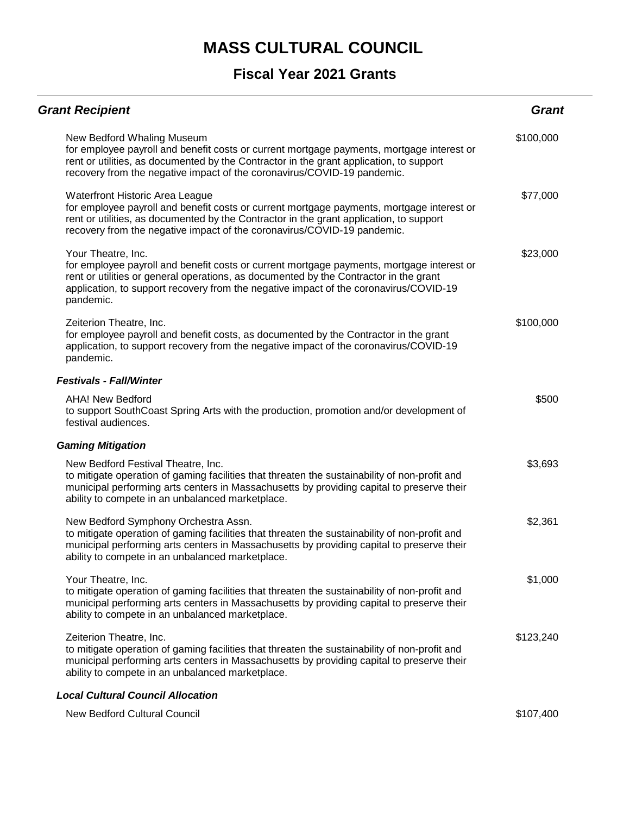| <b>Grant Recipient</b>                                                                                                                                                                                                                                                                                         | Grant     |
|----------------------------------------------------------------------------------------------------------------------------------------------------------------------------------------------------------------------------------------------------------------------------------------------------------------|-----------|
| New Bedford Whaling Museum<br>for employee payroll and benefit costs or current mortgage payments, mortgage interest or<br>rent or utilities, as documented by the Contractor in the grant application, to support<br>recovery from the negative impact of the coronavirus/COVID-19 pandemic.                  | \$100,000 |
| <b>Waterfront Historic Area League</b><br>for employee payroll and benefit costs or current mortgage payments, mortgage interest or<br>rent or utilities, as documented by the Contractor in the grant application, to support<br>recovery from the negative impact of the coronavirus/COVID-19 pandemic.      | \$77,000  |
| Your Theatre, Inc.<br>for employee payroll and benefit costs or current mortgage payments, mortgage interest or<br>rent or utilities or general operations, as documented by the Contractor in the grant<br>application, to support recovery from the negative impact of the coronavirus/COVID-19<br>pandemic. | \$23,000  |
| Zeiterion Theatre, Inc.<br>for employee payroll and benefit costs, as documented by the Contractor in the grant<br>application, to support recovery from the negative impact of the coronavirus/COVID-19<br>pandemic.                                                                                          | \$100,000 |
| <b>Festivals - Fall/Winter</b>                                                                                                                                                                                                                                                                                 |           |
| <b>AHA! New Bedford</b><br>to support SouthCoast Spring Arts with the production, promotion and/or development of<br>festival audiences.                                                                                                                                                                       | \$500     |
| <b>Gaming Mitigation</b>                                                                                                                                                                                                                                                                                       |           |
| New Bedford Festival Theatre, Inc.<br>to mitigate operation of gaming facilities that threaten the sustainability of non-profit and<br>municipal performing arts centers in Massachusetts by providing capital to preserve their<br>ability to compete in an unbalanced marketplace.                           | \$3,693   |
| New Bedford Symphony Orchestra Assn.<br>to mitigate operation of gaming facilities that threaten the sustainability of non-profit and<br>municipal performing arts centers in Massachusetts by providing capital to preserve their<br>ability to compete in an unbalanced marketplace.                         | \$2,361   |
| Your Theatre, Inc.<br>to mitigate operation of gaming facilities that threaten the sustainability of non-profit and<br>municipal performing arts centers in Massachusetts by providing capital to preserve their<br>ability to compete in an unbalanced marketplace.                                           | \$1,000   |
| Zeiterion Theatre, Inc.<br>to mitigate operation of gaming facilities that threaten the sustainability of non-profit and<br>municipal performing arts centers in Massachusetts by providing capital to preserve their<br>ability to compete in an unbalanced marketplace.                                      | \$123,240 |
| <b>Local Cultural Council Allocation</b>                                                                                                                                                                                                                                                                       |           |
| New Bedford Cultural Council                                                                                                                                                                                                                                                                                   | \$107,400 |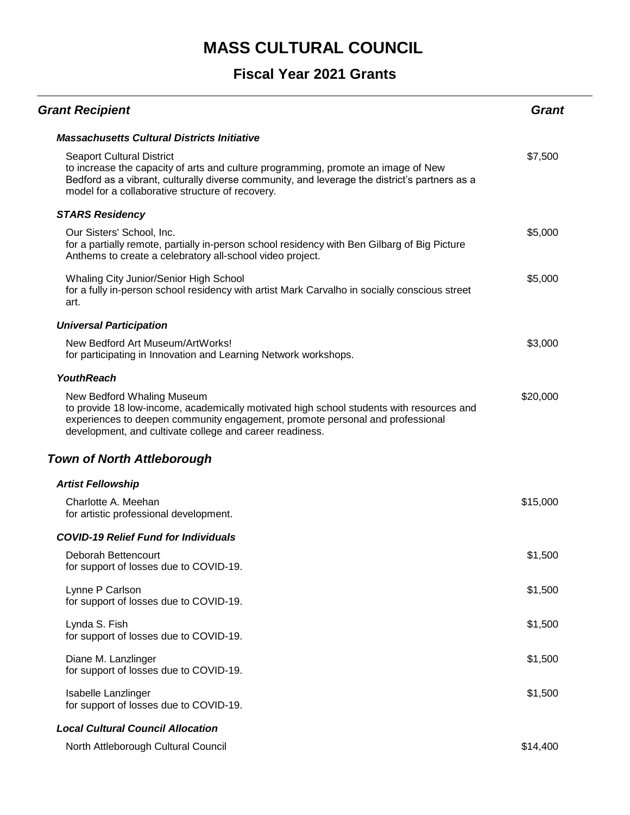| <b>Grant Recipient</b>                                                                                                                                                                                                                                                     | Grant    |
|----------------------------------------------------------------------------------------------------------------------------------------------------------------------------------------------------------------------------------------------------------------------------|----------|
| <b>Massachusetts Cultural Districts Initiative</b>                                                                                                                                                                                                                         |          |
| <b>Seaport Cultural District</b><br>to increase the capacity of arts and culture programming, promote an image of New<br>Bedford as a vibrant, culturally diverse community, and leverage the district's partners as a<br>model for a collaborative structure of recovery. | \$7,500  |
| <b>STARS Residency</b>                                                                                                                                                                                                                                                     |          |
| Our Sisters' School, Inc.<br>for a partially remote, partially in-person school residency with Ben Gilbarg of Big Picture<br>Anthems to create a celebratory all-school video project.                                                                                     | \$5,000  |
| Whaling City Junior/Senior High School<br>for a fully in-person school residency with artist Mark Carvalho in socially conscious street<br>art.                                                                                                                            | \$5,000  |
| <b>Universal Participation</b>                                                                                                                                                                                                                                             |          |
| New Bedford Art Museum/ArtWorks!<br>for participating in Innovation and Learning Network workshops.                                                                                                                                                                        | \$3,000  |
| <b>YouthReach</b>                                                                                                                                                                                                                                                          |          |
| New Bedford Whaling Museum<br>to provide 18 low-income, academically motivated high school students with resources and<br>experiences to deepen community engagement, promote personal and professional<br>development, and cultivate college and career readiness.        | \$20,000 |
| <b>Town of North Attleborough</b>                                                                                                                                                                                                                                          |          |
| <b>Artist Fellowship</b>                                                                                                                                                                                                                                                   |          |
| Charlotte A. Meehan<br>for artistic professional development.                                                                                                                                                                                                              | \$15,000 |
| <b>COVID-19 Relief Fund for Individuals</b>                                                                                                                                                                                                                                |          |
| Deborah Bettencourt<br>for support of losses due to COVID-19.                                                                                                                                                                                                              | \$1,500  |
| Lynne P Carlson<br>for support of losses due to COVID-19.                                                                                                                                                                                                                  | \$1,500  |
| Lynda S. Fish<br>for support of losses due to COVID-19.                                                                                                                                                                                                                    | \$1,500  |
| Diane M. Lanzlinger<br>for support of losses due to COVID-19.                                                                                                                                                                                                              | \$1,500  |
| Isabelle Lanzlinger<br>for support of losses due to COVID-19.                                                                                                                                                                                                              | \$1,500  |
| <b>Local Cultural Council Allocation</b>                                                                                                                                                                                                                                   |          |
| North Attleborough Cultural Council                                                                                                                                                                                                                                        | \$14,400 |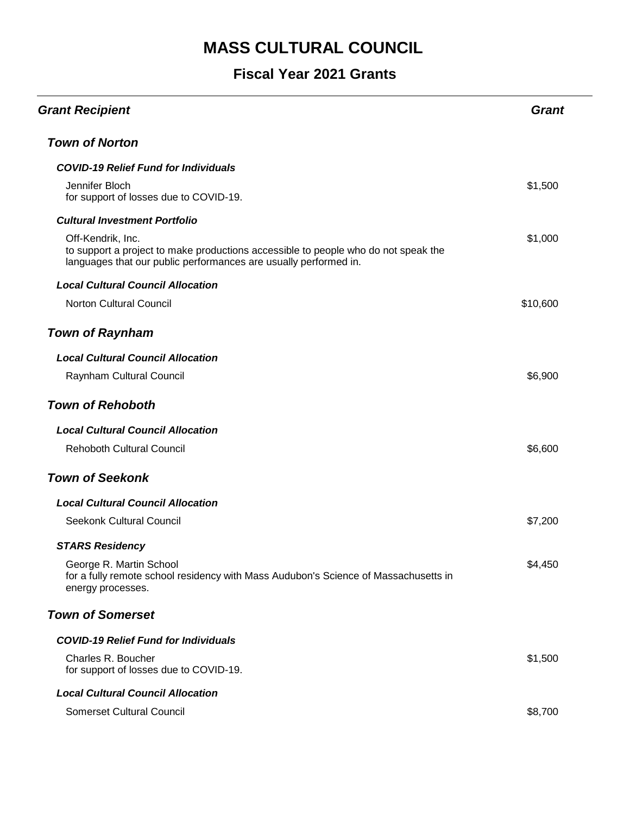| <b>Grant Recipient</b>                                                                                                                                                      | <b>Grant</b> |
|-----------------------------------------------------------------------------------------------------------------------------------------------------------------------------|--------------|
| <b>Town of Norton</b>                                                                                                                                                       |              |
| <b>COVID-19 Relief Fund for Individuals</b>                                                                                                                                 |              |
| Jennifer Bloch<br>for support of losses due to COVID-19.                                                                                                                    | \$1,500      |
| <b>Cultural Investment Portfolio</b>                                                                                                                                        |              |
| Off-Kendrik, Inc.<br>to support a project to make productions accessible to people who do not speak the<br>languages that our public performances are usually performed in. | \$1,000      |
| <b>Local Cultural Council Allocation</b>                                                                                                                                    |              |
| <b>Norton Cultural Council</b>                                                                                                                                              | \$10,600     |
| <b>Town of Raynham</b>                                                                                                                                                      |              |
| <b>Local Cultural Council Allocation</b>                                                                                                                                    |              |
| Raynham Cultural Council                                                                                                                                                    | \$6,900      |
| <b>Town of Rehoboth</b>                                                                                                                                                     |              |
| <b>Local Cultural Council Allocation</b>                                                                                                                                    |              |
| <b>Rehoboth Cultural Council</b>                                                                                                                                            | \$6,600      |
| <b>Town of Seekonk</b>                                                                                                                                                      |              |
| <b>Local Cultural Council Allocation</b>                                                                                                                                    |              |
| Seekonk Cultural Council                                                                                                                                                    | \$7,200      |
| <b>STARS Residency</b>                                                                                                                                                      |              |
| George R. Martin School<br>for a fully remote school residency with Mass Audubon's Science of Massachusetts in<br>energy processes.                                         | \$4,450      |
| <b>Town of Somerset</b>                                                                                                                                                     |              |
| <b>COVID-19 Relief Fund for Individuals</b>                                                                                                                                 |              |
| Charles R. Boucher<br>for support of losses due to COVID-19.                                                                                                                | \$1,500      |
| <b>Local Cultural Council Allocation</b>                                                                                                                                    |              |
| Somerset Cultural Council                                                                                                                                                   | \$8,700      |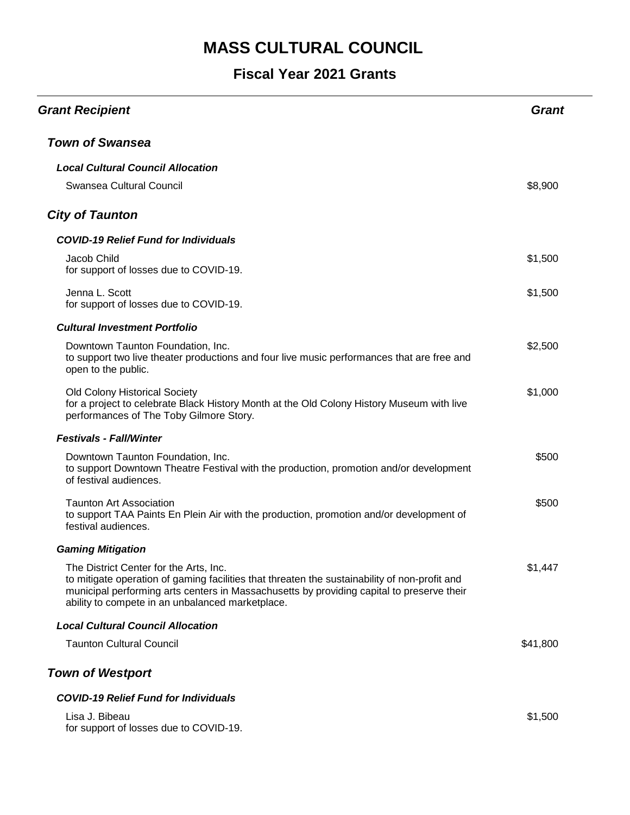| <b>Grant Recipient</b>                                                                                                                                                                                                                                                                   | Grant    |
|------------------------------------------------------------------------------------------------------------------------------------------------------------------------------------------------------------------------------------------------------------------------------------------|----------|
| <b>Town of Swansea</b>                                                                                                                                                                                                                                                                   |          |
| <b>Local Cultural Council Allocation</b>                                                                                                                                                                                                                                                 |          |
| Swansea Cultural Council                                                                                                                                                                                                                                                                 | \$8,900  |
| <b>City of Taunton</b>                                                                                                                                                                                                                                                                   |          |
| <b>COVID-19 Relief Fund for Individuals</b>                                                                                                                                                                                                                                              |          |
| Jacob Child<br>for support of losses due to COVID-19.                                                                                                                                                                                                                                    | \$1,500  |
| Jenna L. Scott<br>for support of losses due to COVID-19.                                                                                                                                                                                                                                 | \$1,500  |
| <b>Cultural Investment Portfolio</b>                                                                                                                                                                                                                                                     |          |
| Downtown Taunton Foundation, Inc.<br>to support two live theater productions and four live music performances that are free and<br>open to the public.                                                                                                                                   | \$2,500  |
| Old Colony Historical Society<br>for a project to celebrate Black History Month at the Old Colony History Museum with live<br>performances of The Toby Gilmore Story.                                                                                                                    | \$1,000  |
| <b>Festivals - Fall/Winter</b>                                                                                                                                                                                                                                                           |          |
| Downtown Taunton Foundation, Inc.<br>to support Downtown Theatre Festival with the production, promotion and/or development<br>of festival audiences.                                                                                                                                    | \$500    |
| <b>Taunton Art Association</b><br>to support TAA Paints En Plein Air with the production, promotion and/or development of<br>festival audiences.                                                                                                                                         | \$500    |
| <b>Gaming Mitigation</b>                                                                                                                                                                                                                                                                 |          |
| The District Center for the Arts, Inc.<br>to mitigate operation of gaming facilities that threaten the sustainability of non-profit and<br>municipal performing arts centers in Massachusetts by providing capital to preserve their<br>ability to compete in an unbalanced marketplace. | \$1,447  |
| <b>Local Cultural Council Allocation</b>                                                                                                                                                                                                                                                 |          |
| <b>Taunton Cultural Council</b>                                                                                                                                                                                                                                                          | \$41,800 |
| <b>Town of Westport</b>                                                                                                                                                                                                                                                                  |          |
| <b>COVID-19 Relief Fund for Individuals</b>                                                                                                                                                                                                                                              |          |
| Lisa J. Bibeau<br>for support of losses due to COVID-19.                                                                                                                                                                                                                                 | \$1,500  |